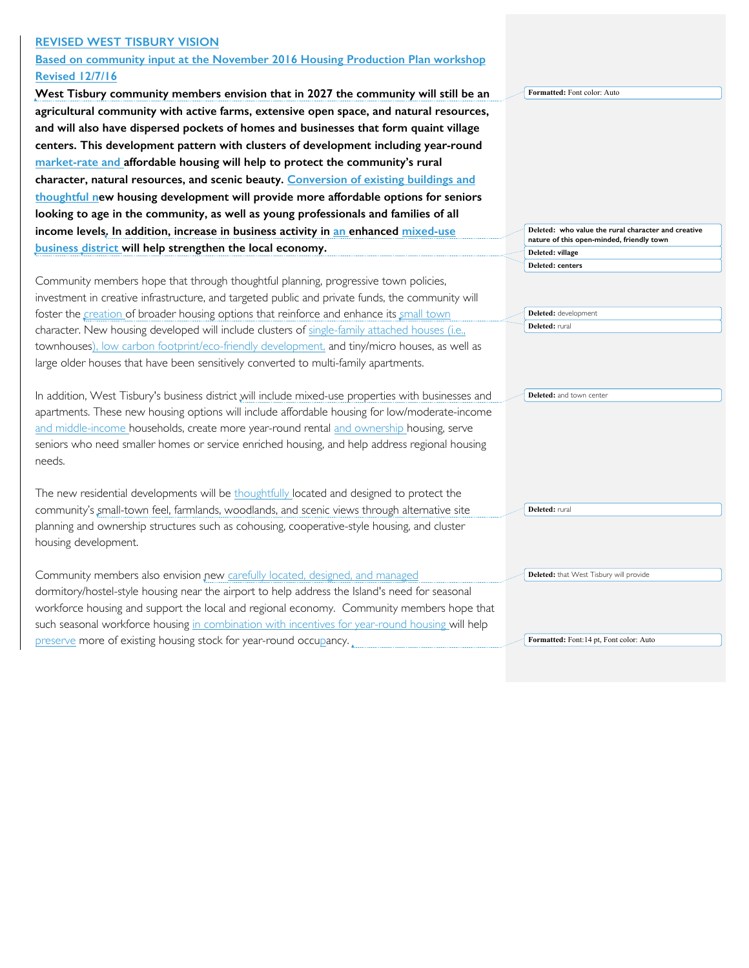## **REVISED WEST TISBURY VISION**

## **Based on community input at the November 2016 Housing Production Plan workshop Revised 12/7/16**

West Tisbury community members envision that in 2027 the community w agricultural community with active farms, extensive open space, and natura and will also have dispersed pockets of homes and businesses that form qua centers. This development pattern with clusters of development including y market-rate and affordable housing will help to protect the community's ru character, natural resources, and scenic beauty. Conversion of existing build thoughtful new housing development will provide more affordable options looking to age in the community, as well as young professionals and families income levels. In addition, increase in business activity in an enhanced mixe **business district will help strengthen the local economy.**

Community members hope that through thoughtful planning, progressive town poli investment in creative infrastructure, and targeted public and private funds, the com foster the creation of broader housing options that reinforce and enhance its small character. New housing developed will include clusters of single-family attached house townhouses), low carbon footprint/eco-friendly development, and tiny/micro house large older houses that have been sensitively converted to multi-family apartments.

In addition, West Tisbury's business district will include mixed-use properties with b apartments. These new housing options will include affordable housing for low/mod and middle-income households, create more year-round rental and ownership hous seniors who need smaller homes or service enriched housing, and help address regi needs.

The new residential developments will be thoughtfully located and designed to prot community's small-town feel, farmlands, woodlands, and scenic views through alterr planning and ownership structures such as cohousing, cooperative-style housing, and housing development.

Community members also envision new carefully located, designed, and managed dormitory/hostel-style housing near the airport to help address the Island's need for seasonal workforce housing and support the local and regional economy. Community members hope that such seasonal workforce housing in combination with incentives for year-round housing will help preserve more of existing housing stock for year-round occupancy.

| ill still be an | Formatted: Font color: Auto                                                                      |  |  |  |
|-----------------|--------------------------------------------------------------------------------------------------|--|--|--|
| al resources,   |                                                                                                  |  |  |  |
| aint village    |                                                                                                  |  |  |  |
| vear-round      |                                                                                                  |  |  |  |
| ıral            |                                                                                                  |  |  |  |
| dings and       |                                                                                                  |  |  |  |
| for seniors     |                                                                                                  |  |  |  |
|                 |                                                                                                  |  |  |  |
| s of all        |                                                                                                  |  |  |  |
| d-use:          | Deleted: who value the rural character and creative<br>nature of this open-minded, friendly town |  |  |  |
|                 | Deleted: village                                                                                 |  |  |  |
|                 | Deleted: centers                                                                                 |  |  |  |
| cies,           |                                                                                                  |  |  |  |
| munity will     |                                                                                                  |  |  |  |
| town            | Deleted: development                                                                             |  |  |  |
| uses (i.e.,     | Deleted: rural                                                                                   |  |  |  |
| es, as well as  |                                                                                                  |  |  |  |
|                 |                                                                                                  |  |  |  |
|                 |                                                                                                  |  |  |  |
| pusinesses and  | Deleted: and town center                                                                         |  |  |  |
| derate-income   |                                                                                                  |  |  |  |
| sing, serve     |                                                                                                  |  |  |  |
| ional housing   |                                                                                                  |  |  |  |
|                 |                                                                                                  |  |  |  |
|                 |                                                                                                  |  |  |  |
| tect the        |                                                                                                  |  |  |  |
| ative site      | Deleted: rural                                                                                   |  |  |  |
| d cluster       |                                                                                                  |  |  |  |
|                 |                                                                                                  |  |  |  |
|                 |                                                                                                  |  |  |  |
|                 |                                                                                                  |  |  |  |
|                 | Deleted: that West Tisbury will provide                                                          |  |  |  |

**Formatted:** Font:14 pt, Font color: Auto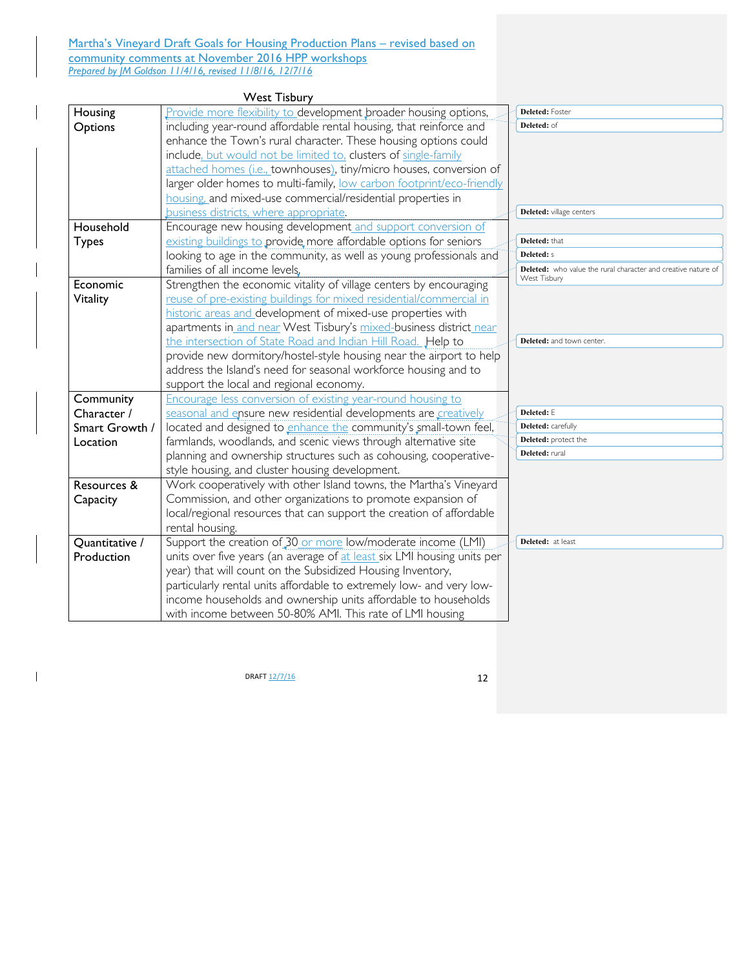Martha's Vineyard Draft Goals for Housing Production Plans - revised based on community comments at November 2016 HPP workshops *Prepared by JM Goldson 11/4/16, revised 11/8/16, 12/7/16*

|                | <b>West Tisbury</b>                                                     |                                                                               |
|----------------|-------------------------------------------------------------------------|-------------------------------------------------------------------------------|
| Housing        | Provide more flexibility to development broader housing options,        | Deleted: Foster                                                               |
| Options        | including year-round affordable rental housing, that reinforce and      | Deleted: of                                                                   |
|                | enhance the Town's rural character. These housing options could         |                                                                               |
|                | include, but would not be limited to, clusters of single-family         |                                                                               |
|                | attached homes (i.e., townhouses), tiny/micro houses, conversion of     |                                                                               |
|                | larger older homes to multi-family, low carbon footprint/eco-friendly   |                                                                               |
|                | housing, and mixed-use commercial/residential properties in             |                                                                               |
|                | business districts, where appropriate.                                  | Deleted: village centers                                                      |
| Household      | Encourage new housing development and support conversion of             |                                                                               |
| <b>Types</b>   | existing buildings to provide more affordable options for seniors       | Deleted: that                                                                 |
|                | looking to age in the community, as well as young professionals and     | <b>Deleted:</b> s                                                             |
|                | families of all income levels,                                          | Deleted: who value the rural character and creative nature of<br>West Tisbury |
| Economic       | Strengthen the economic vitality of village centers by encouraging      |                                                                               |
| Vitality       | reuse of pre-existing buildings for mixed residential/commercial in     |                                                                               |
|                | historic areas and development of mixed-use properties with             |                                                                               |
|                | apartments in and near West Tisbury's mixed-business district near      |                                                                               |
|                | the intersection of State Road and Indian Hill Road. Help to            | Deleted: and town center.                                                     |
|                | provide new dormitory/hostel-style housing near the airport to help     |                                                                               |
|                | address the Island's need for seasonal workforce housing and to         |                                                                               |
|                | support the local and regional economy.                                 |                                                                               |
| Community      | Encourage less conversion of existing year-round housing to             |                                                                               |
| Character /    | seasonal and ensure new residential developments are creatively         | Deleted: E                                                                    |
| Smart Growth / | located and designed to enhance the community's small-town feel,        | Deleted: carefully                                                            |
| Location       | farmlands, woodlands, and scenic views through alternative site         | Deleted: protect the                                                          |
|                | planning and ownership structures such as cohousing, cooperative-       | Deleted: rural                                                                |
|                | style housing, and cluster housing development.                         |                                                                               |
| Resources &    | Work cooperatively with other Island towns, the Martha's Vineyard       |                                                                               |
| Capacity       | Commission, and other organizations to promote expansion of             |                                                                               |
|                | local/regional resources that can support the creation of affordable    |                                                                               |
|                | rental housing.                                                         |                                                                               |
| Quantitative / | Support the creation of 30 or more low/moderate income (LMI)            | Deleted: at least                                                             |
| Production     | units over five years (an average of at least six LMI housing units per |                                                                               |
|                | year) that will count on the Subsidized Housing Inventory,              |                                                                               |
|                | particularly rental units affordable to extremely low- and very low-    |                                                                               |
|                | income households and ownership units affordable to households          |                                                                               |
|                | with income between 50-80% AMI. This rate of LMI housing                |                                                                               |

 $DRAFT \frac{12/7/16}{2}$  12

 $\mathbf{l}$